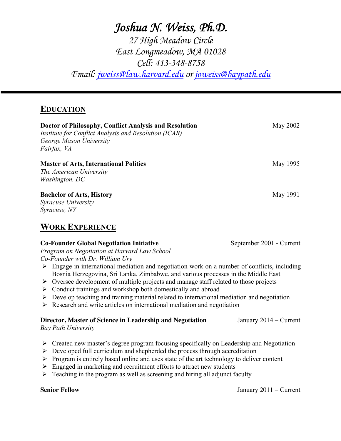# *Joshua N. Weiss, Ph.D. 27 High Meadow Circle*

*East Longmeadow, MA 01028 Cell: 413-348-8758 Email: jweiss@law.harvard.edu or joweiss@baypath.edu*

# **EDUCATION**

| Doctor of Philosophy, Conflict Analysis and Resolution<br>Institute for Conflict Analysis and Resolution (ICAR)<br>George Mason University<br>Fairfax, VA                                                                                                                                                                                                                                                                                                                                                                                                                                                                                                                                                                | May 2002                 |
|--------------------------------------------------------------------------------------------------------------------------------------------------------------------------------------------------------------------------------------------------------------------------------------------------------------------------------------------------------------------------------------------------------------------------------------------------------------------------------------------------------------------------------------------------------------------------------------------------------------------------------------------------------------------------------------------------------------------------|--------------------------|
| <b>Master of Arts, International Politics</b><br>The American University<br>Washington, DC                                                                                                                                                                                                                                                                                                                                                                                                                                                                                                                                                                                                                               | May 1995                 |
| <b>Bachelor of Arts, History</b><br>Syracuse University<br>Syracuse, NY<br><b>WORK EXPERIENCE</b>                                                                                                                                                                                                                                                                                                                                                                                                                                                                                                                                                                                                                        | May 1991                 |
| <b>Co-Founder Global Negotiation Initiative</b><br>Program on Negotiation at Harvard Law School<br>Co-Founder with Dr. William Ury<br>$\triangleright$ Engage in international mediation and negotiation work on a number of conflicts, including<br>Bosnia Herzegovina, Sri Lanka, Zimbabwe, and various processes in the Middle East<br>> Oversee development of multiple projects and manage staff related to those projects<br>$\triangleright$ Conduct trainings and workshop both domestically and abroad<br>$\triangleright$ Develop teaching and training material related to international mediation and negotiation<br>$\triangleright$ Research and write articles on international mediation and negotiation | September 2001 - Current |
| Director, Master of Science in Leadership and Negotiation<br><b>Bay Path University</b>                                                                                                                                                                                                                                                                                                                                                                                                                                                                                                                                                                                                                                  | January $2014 -$ Current |
| $\triangleright$ Created new master's degree program focusing specifically on Leadership and Negotiation<br>$\triangleright$ Developed full curriculum and shepherded the process through accreditation<br>$\triangleright$ Program is entirely based online and uses state of the art technology to deliver content<br>$\triangleright$ Engaged in marketing and recruitment efforts to attract new students                                                                                                                                                                                                                                                                                                            |                          |

 $\triangleright$  Teaching in the program as well as screening and hiring all adjunct faculty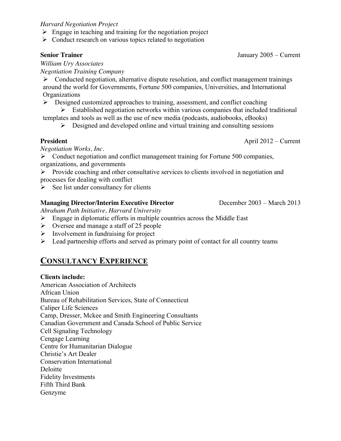#### *Harvard Negotiation Project*

- $\triangleright$  Engage in teaching and training for the negotiation project
- $\triangleright$  Conduct research on various topics related to negotiation

*William Ury Associates Negotiation Training Company* 

 $\triangleright$  Conducted negotiation, alternative dispute resolution, and conflict management trainings around the world for Governments, Fortune 500 companies, Universities, and International **Organizations** 

 $\triangleright$  Designed customized approaches to training, assessment, and conflict coaching

 $\triangleright$  Established negotiation networks within various companies that included traditional templates and tools as well as the use of new media (podcasts, audiobooks, eBooks)

 $\triangleright$  Designed and developed online and virtual training and consulting sessions

**President** April 2012 – Current

*Negotiation Works, Inc.*

 $\triangleright$  Conduct negotiation and conflict management training for Fortune 500 companies, organizations, and governments

 $\triangleright$  Provide coaching and other consultative services to clients involved in negotiation and processes for dealing with conflict

 $\triangleright$  See list under consultancy for clients

# **Managing Director/Interim Executive Director** December 2003 – March 2013

*Abraham Path Initiative, Harvard University*

- $\triangleright$  Engage in diplomatic efforts in multiple countries across the Middle East
- $\triangleright$  Oversee and manage a staff of 25 people
- $\triangleright$  Involvement in fundraising for project
- $\triangleright$  Lead partnership efforts and served as primary point of contact for all country teams

# **CONSULTANCY EXPERIENCE**

# **Clients include:**

American Association of Architects African Union Bureau of Rehabilitation Services, State of Connecticut Caliper Life Sciences Camp, Dresser, Mckee and Smith Engineering Consultants Canadian Government and Canada School of Public Service Cell Signaling Technology Cengage Learning Centre for Humanitarian Dialogue Christie's Art Dealer Conservation International Deloitte Fidelity Investments Fifth Third Bank Genzyme

**Senior Trainer** January 2005 – Current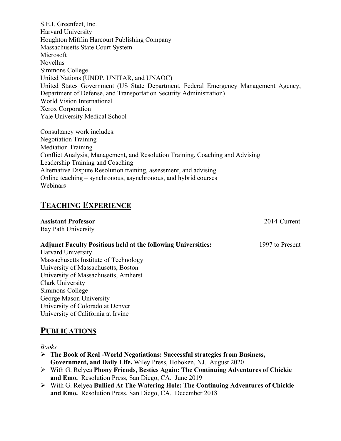S.E.I. Greenfeet, Inc. Harvard University Houghton Mifflin Harcourt Publishing Company Massachusetts State Court System Microsoft Novellus Simmons College United Nations (UNDP, UNITAR, and UNAOC) United States Government (US State Department, Federal Emergency Management Agency, Department of Defense, and Transportation Security Administration) World Vision International Xerox Corporation Yale University Medical School

Consultancy work includes: Negotiation Training Mediation Training Conflict Analysis, Management, and Resolution Training, Coaching and Advising Leadership Training and Coaching Alternative Dispute Resolution training, assessment, and advising Online teaching – synchronous, asynchronous, and hybrid courses Webinars

# **TEACHING EXPERIENCE**

| <b>Assistant Professor</b>                                           | 2014-Current    |
|----------------------------------------------------------------------|-----------------|
| <b>Bay Path University</b>                                           |                 |
| <b>Adjunct Faculty Positions held at the following Universities:</b> | 1997 to Present |
| <b>Harvard University</b>                                            |                 |
| Massachusetts Institute of Technology                                |                 |
| University of Massachusetts, Boston                                  |                 |
| University of Massachusetts, Amherst                                 |                 |
| Clark University                                                     |                 |
| Simmons College                                                      |                 |
| George Mason University                                              |                 |
| University of Colorado at Denver                                     |                 |
| University of California at Irvine                                   |                 |
| <b>PUBLICATIONS</b>                                                  |                 |

#### *Books*

- Ø **The Book of Real -World Negotiations: Successful strategies from Business, Government, and Daily Life.** Wiley Press, Hoboken, NJ. August 2020
- Ø With G. Relyea **Phony Friends, Besties Again: The Continuing Adventures of Chickie and Emo.** Resolution Press, San Diego, CA. June 2019
- Ø With G. Relyea **Bullied At The Watering Hole: The Continuing Adventures of Chickie and Emo.** Resolution Press, San Diego, CA. December 2018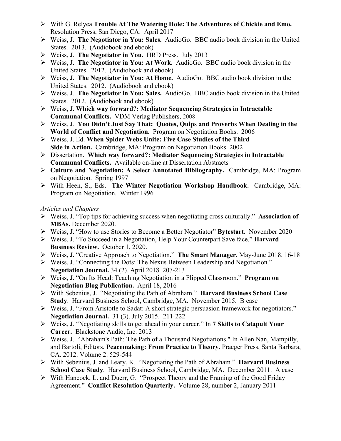- Ø With G. Relyea **Trouble At The Watering Hole: The Adventures of Chickie and Emo.** Resolution Press, San Diego, CA. April 2017
- Ø Weiss, J. **The Negotiator in You: Sales.** AudioGo. BBC audio book division in the United States. 2013. (Audiobook and ebook)
- Ø Weiss, J. **The Negotiator in You.** HRD Press. July 2013
- Ø Weiss, J. **The Negotiator in You: At Work.** AudioGo. BBC audio book division in the United States. 2012. (Audiobook and ebook)
- Ø Weiss, J. **The Negotiator in You: At Home.** AudioGo. BBC audio book division in the United States. 2012. (Audiobook and ebook)
- Ø Weiss, J. **The Negotiator in You: Sales.** AudioGo. BBC audio book division in the United States. 2012. (Audiobook and ebook)
- Ø Weiss, J. **Which way forward?: Mediator Sequencing Strategies in Intractable Communal Conflicts.** VDM Verlag Publishers, 2008
- Ø Weiss, J. **You Didn't Just Say That: Quotes, Quips and Proverbs When Dealing in the World of Conflict and Negotiation.** Program on Negotiation Books. 2006
- Ø Weiss, J. Ed. **When Spider Webs Unite: Five Case Studies of the Third Side in Action.** Cambridge, MA: Program on Negotiation Books. 2002
- Ø Dissertation. **Which way forward?: Mediator Sequencing Strategies in Intractable Communal Conflicts.** Available on-line at Dissertation Abstracts
- Ø **Culture and Negotiation: A Select Annotated Bibliography.** Cambridge, MA: Program on Negotiation. Spring 1997
- Ø With Heen, S., Eds. **The Winter Negotiation Workshop Handbook.** Cambridge, MA: Program on Negotiation. Winter 1996

### *Articles and Chapters*

- Ø Weiss, J. "Top tips for achieving success when negotiating cross culturally." **Association of MBAs.** December 2020.
- Ø Weiss, J. "How to use Stories to Become a Better Negotiator" **Bytestart.** November 2020
- Ø Weiss, J. "To Succeed in a Negotiation, Help Your Counterpart Save face." **Harvard Business Review.** October 1, 2020.
- Ø Weiss, J. "Creative Approach to Negotiation." **The Smart Manager.** May-June 2018. 16-18
- Ø Weiss, J. "Connecting the Dots: The Nexus Between Leadership and Negotiation." **Negotiation Journal.** 34 (2). April 2018. 207-213
- Ø Weiss, J. "On Its Head: Teaching Negotiation in a Flipped Classroom." **Program on Negotiation Blog Publication.** April 18, 2016
- Ø With Sebenius, J. "Negotiating the Path of Abraham." **Harvard Business School Case Study**. Harvard Business School, Cambridge, MA. November 2015. B case
- $\triangleright$  Weiss, J. "From Aristotle to Sadat: A short strategic persuasion framework for negotiators." **Negotiation Journal.** 31 (3). July 2015. 211-222
- Ø Weiss, J. "Negotiating skills to get ahead in your career." In **7 Skills to Catapult Your Career.** Blackstone Audio, Inc. 2013
- Ø Weiss, J. "Abraham's Path: The Path of a Thousand Negotiations." In Allen Nan, Mampilly, and Bartoli, Editors. **Peacemaking: From Practice to Theory**. Praeger Press, Santa Barbara, CA. 2012. Volume 2. 529-544
- Ø With Sebenius, J. and Leary, K. "Negotiating the Path of Abraham." **Harvard Business School Case Study**. Harvard Business School, Cambridge, MA. December 2011. A case
- $\triangleright$  With Hancock, L. and Duerr, G. "Prospect Theory and the Framing of the Good Friday" Agreement." **Conflict Resolution Quarterly.** Volume 28, number 2, January 2011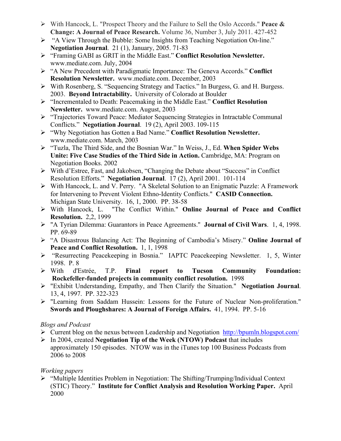- Ø With Hancock, L. "Prospect Theory and the Failure to Sell the Oslo Accords." **Peace & Change: A Journal of Peace Research.** Volume 36, Number 3, July 2011. 427-452
- Ø "A View Through the Bubble: Some Insights from Teaching Negotiation On-line." **Negotiation Journal**. 21 (1), January, 2005. 71-83
- Ø "Framing GABI as GRIT in the Middle East." **Conflict Resolution Newsletter.** www.mediate.com. July, 2004
- Ø "A New Precedent with Paradigmatic Importance: The Geneva Accords." **Conflict Resolution Newsletter.** www.mediate.com. December, 2003
- Ø With Rosenberg, S. "Sequencing Strategy and Tactics." In Burgess, G. and H. Burgess. 2003. **Beyond Intractability.**University of Colorado at Boulder
- Ø "Incrementaled to Death: Peacemaking in the Middle East." **Conflict Resolution Newsletter.** www.mediate.com. August, 2003
- Ø "Trajectories Toward Peace: Mediator Sequencing Strategies in Intractable Communal Conflicts." **Negotiation Journal**. 19 (2), April 2003. 109-115
- Ø "Why Negotiation has Gotten a Bad Name." **Conflict Resolution Newsletter.** www.mediate.com. March, 2003
- Ø "Tuzla, The Third Side, and the Bosnian War." In Weiss, J., Ed. **When Spider Webs Unite: Five Case Studies of the Third Side in Action.** Cambridge, MA: Program on Negotiation Books. 2002
- Ø With d'Estree, Fast, and Jakobsen, "Changing the Debate about "Success" in Conflict Resolution Efforts." **Negotiation Journal**. 17 (2), April 2001. 101-114
- Ø With Hancock, L. and V. Perry. "A Skeletal Solution to an Enigmatic Puzzle: A Framework for Intervening to Prevent Violent Ethno-Identity Conflicts." **CASID Connection.** Michigan State University. 16, 1, 2000. PP. 38-58
- Ø With Hancock, L. "The Conflict Within." **Online Journal of Peace and Conflict Resolution.** 2,2, 1999
- Ø "A Tyrian Dilemma: Guarantors in Peace Agreements." **Journal of Civil Wars**. 1, 4, 1998. PP. 69-89
- Ø "A Disastrous Balancing Act: The Beginning of Cambodia's Misery." **Online Journal of Peace and Conflict Resolution.** 1, 1, 1998
- Ø "Resurrecting Peacekeeping in Bosnia." IAPTC Peacekeeping Newsletter. 1, 5, Winter 1998. P. 8
- Ø With d'Estrée, T.P. **Final report to Tucson Community Foundation: Rockefeller-funded projects in community conflict resolution.** 1998
- Ø "Exhibit Understanding, Empathy, and Then Clarify the Situation." **Negotiation Journal**. 13, 4, 1997. PP. 322-323
- Ø "Learning from Saddam Hussein: Lessons for the Future of Nuclear Non-proliferation." **Swords and Ploughshares: A Journal of Foreign Affairs.** 41, 1994. PP. 5-16

### *Blogs and Podcast*

- Ø Current blog on the nexus between Leadership and Negotiation http://bpumln.blogspot.com/
- Ø In 2004, created **Negotiation Tip of the Week (NTOW) Podcast** that includes approximately 150 episodes. NTOW was in the iTunes top 100 Business Podcasts from 2006 to 2008

# *Working papers*

 $\triangleright$  "Multiple Identities Problem in Negotiation: The Shifting/Trumping/Individual Context (STIC) Theory." **Institute for Conflict Analysis and Resolution Working Paper.** April 2000